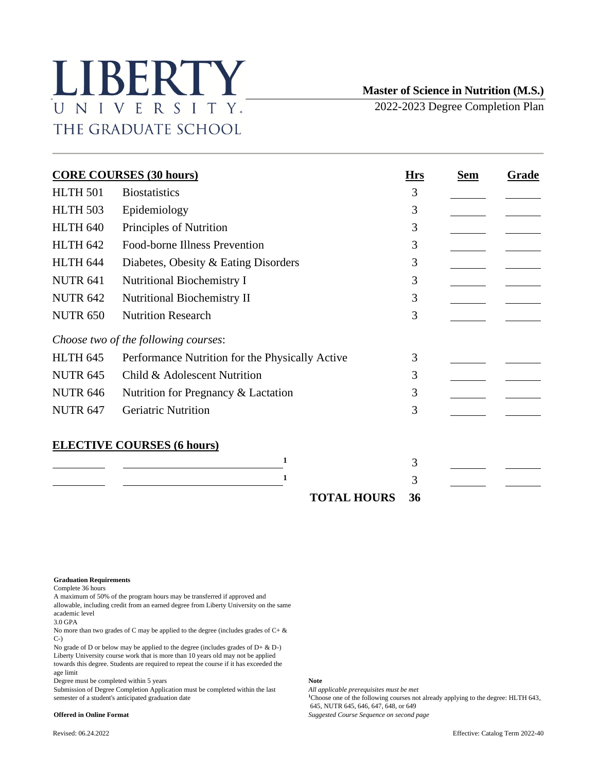# LIBERTY UNIVERSITY. THE GRADUATE SCHOOL

# **Master of Science in Nutrition (M.S.)**

2022-2023 Degree Completion Plan

| <b>CORE COURSES (30 hours)</b> |                                                 |    | <b>Sem</b> | Grade |
|--------------------------------|-------------------------------------------------|----|------------|-------|
| <b>HLTH 501</b>                | <b>Biostatistics</b>                            | 3  |            |       |
| <b>HLTH 503</b>                | Epidemiology                                    | 3  |            |       |
| <b>HLTH 640</b>                | Principles of Nutrition                         | 3  |            |       |
| <b>HLTH 642</b>                | Food-borne Illness Prevention                   | 3  |            |       |
| HLTH 644                       | Diabetes, Obesity & Eating Disorders            | 3  |            |       |
| <b>NUTR 641</b>                | <b>Nutritional Biochemistry I</b>               | 3  |            |       |
| <b>NUTR 642</b>                | Nutritional Biochemistry II                     | 3  |            |       |
| <b>NUTR 650</b>                | <b>Nutrition Research</b>                       | 3  |            |       |
|                                | Choose two of the following courses:            |    |            |       |
| HLTH <sub>645</sub>            | Performance Nutrition for the Physically Active | 3  |            |       |
| <b>NUTR 645</b>                | Child & Adolescent Nutrition                    | 3  |            |       |
| <b>NUTR 646</b>                | Nutrition for Pregnancy & Lactation             | 3  |            |       |
| <b>NUTR 647</b>                | <b>Geriatric Nutrition</b>                      | 3  |            |       |
|                                | <b>ELECTIVE COURSES (6 hours)</b>               |    |            |       |
|                                | $\mathbf{1}$                                    | 3  |            |       |
|                                | 1                                               | 3  |            |       |
|                                | <b>TOTAL HOURS</b>                              | 36 |            |       |

### **Graduation Requirements**

Complete 36 hours

A maximum of 50% of the program hours may be transferred if approved and allowable, including credit from an earned degree from Liberty University on the same academic level

3.0 GPA

No more than two grades of C may be applied to the degree (includes grades of  $C + \&$ C-)

No grade of D or below may be applied to the degree (includes grades of D+  $\&$  D-) Liberty University course work that is more than 10 years old may not be applied towards this degree. Students are required to repeat the course if it has exceeded the age limit

Degree must be completed within 5 years **Note**

Submission of Degree Completion Application must be completed within the last *All applicable prerequisites must be met*<br><sup>4</sup>Choose one of the following courses not

<sup>1</sup>Choose one of the following courses not already applying to the degree: HLTH 643, 645, NUTR 645, 646, 647, 648, or 649 **Offered in Online Format** *Suggested Course Sequence on second page*